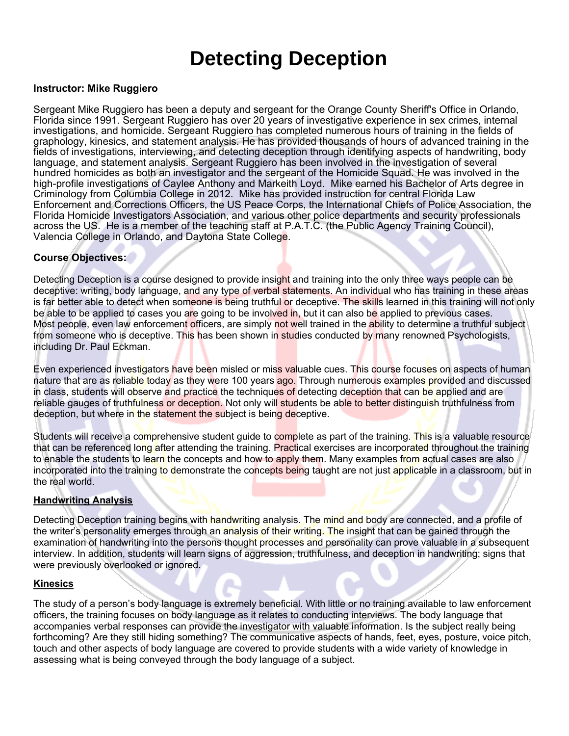# **Detecting Deception**

#### **Instructor: Mike Ruggiero**

Sergeant Mike Ruggiero has been a deputy and sergeant for the Orange County Sheriff's Office in Orlando, Florida since 1991. Sergeant Ruggiero has over 20 years of investigative experience in sex crimes, internal investigations, and homicide. Sergeant Ruggiero has completed numerous hours of training in the fields of graphology, kinesics, and statement analysis. He has provided thousands of hours of advanced training in the fields of investigations, interviewing, and detecting deception through identifying aspects of handwriting, body language, and statement analysis. Sergeant Ruggiero has been involved in the investigation of several hundred homicides as both an investigator and the sergeant of the Homicide Squad. He was involved in the high-profile investigations of Caylee Anthony and Markeith Loyd. Mike earned his Bachelor of Arts degree in Criminology from Columbia College in 2012. Mike has provided instruction for central Florida Law Enforcement and Corrections Officers, the US Peace Corps, the International Chiefs of Police Association, the Florida Homicide Investigators Association, and various other police departments and security professionals across the US. He is a member of the teaching staff at P.A.T.C. (the Public Agency Training Council), Valencia College in Orlando, and Daytona State College.

#### **Course Objectives:**

Detecting Deception is a course designed to provide insight and training into the only three ways people can be deceptive: writing, body language, and any type of verbal statements. An individual who has training in these areas is far better able to detect when someone is being truthful or deceptive. The skills learned in this training will not only be able to be applied to cases you are going to be involved in, but it can also be applied to previous cases. Most people, even law enforcement officers, are simply not well trained in the ability to determine a truthful subject from someone who is deceptive. This has been shown in studies conducted by many renowned Psychologists, including Dr. Paul Eckman.

Even experienced investigators have been misled or miss valuable cues. This course focuses on aspects of human nature that are as reliable today as they were 100 years ago. Through numerous examples provided and discussed in class, students will observe and practice the techniques of detecting deception that can be applied and are reliable gauges of truthfulness or deception. Not only will students be able to better distinguish truthfulness from deception, but where in the statement the subject is being deceptive.

Students will receive a comprehensive student quide to complete as part of the training. This is a valuable resource that can be referenced long after attending the training. Practical exercises are incorporated throughout the training to enable the students to learn the concepts and how to apply them. Many examples from actual cases are also incorporated into the training to demonstrate the concepts being taught are not just applicable in a classroom, but in the real world.

#### **Handwriting Analysis**

Detecting Deception training begins with handwriting analysis. The mind and body are connected, and a profile of the writer's personality emerges through an analysis of their writing. The insight that can be gained through the examination of handwriting into the persons thought processes and personality can prove valuable in a subsequent interview. In addition, students will learn signs of aggression, truthfulness, and deception in handwriting; signs that were previously overlooked or ignored.

#### **Kinesics**

The study of a person's body language is extremely beneficial. With little or no training available to law enforcement officers, the training focuses on body language as it relates to conducting interviews. The body language that accompanies verbal responses can provide the investigator with valuable information. Is the subject really being forthcoming? Are they still hiding something? The communicative aspects of hands, feet, eyes, posture, voice pitch, touch and other aspects of body language are covered to provide students with a wide variety of knowledge in assessing what is being conveyed through the body language of a subject.